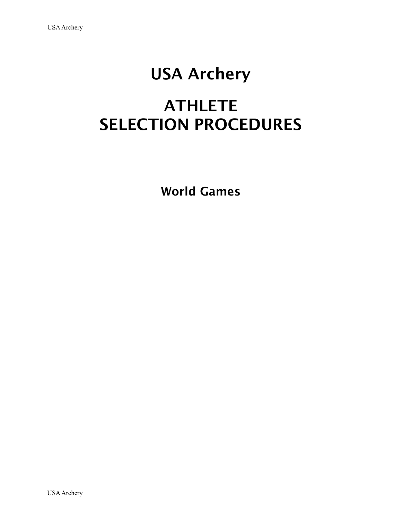## USA Archery

## ATHLETE SELECTION PROCEDURES

World Games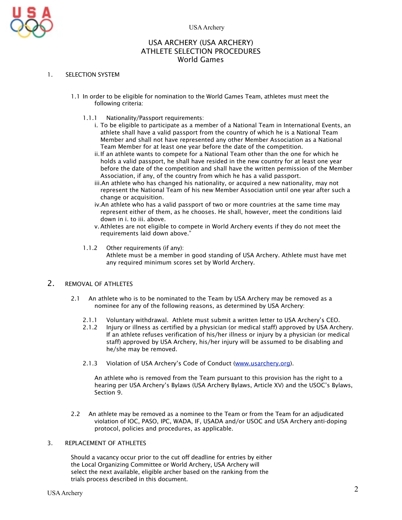

#### USA ARCHERY (USA ARCHERY) ATHLETE SELECTION PROCEDURES World Games

#### 1. SELECTION SYSTEM

- 1.1 In order to be eligible for nomination to the World Games Team, athletes must meet the following criteria:
	- 1.1.1 Nationality/Passport requirements:
		- i. To be eligible to participate as a member of a National Team in International Events, an athlete shall have a valid passport from the country of which he is a National Team Member and shall not have represented any other Member Association as a National Team Member for at least one year before the date of the competition.
		- ii.If an athlete wants to compete for a National Team other than the one for which he holds a valid passport, he shall have resided in the new country for at least one year before the date of the competition and shall have the written permission of the Member Association, if any, of the country from which he has a valid passport.
		- iii.An athlete who has changed his nationality, or acquired a new nationality, may not represent the National Team of his new Member Association until one year after such a change or acquisition.
		- iv.An athlete who has a valid passport of two or more countries at the same time may represent either of them, as he chooses. He shall, however, meet the conditions laid down in i. to iii. above.
		- v.Athletes are not eligible to compete in World Archery events if they do not meet the requirements laid down above."
	- 1.1.2 Other requirements (if any): Athlete must be a member in good standing of USA Archery. Athlete must have met any required minimum scores set by World Archery.

#### 2. REMOVAL OF ATHLETES

- 2.1 An athlete who is to be nominated to the Team by USA Archery may be removed as a nominee for any of the following reasons, as determined by USA Archery:
	- 2.1.1 Voluntary withdrawal. Athlete must submit a written letter to USA Archery's CEO.
	- 2.1.2 Injury or illness as certified by a physician (or medical staff) approved by USA Archery. If an athlete refuses verification of his/her illness or injury by a physician (or medical staff) approved by USA Archery, his/her injury will be assumed to be disabling and he/she may be removed.
	- 2.1.3 Violation of USA Archery's Code of Conduct [\(www.usarchery.org](http://www.usarchery.org)).

An athlete who is removed from the Team pursuant to this provision has the right to a hearing per USA Archery's Bylaws (USA Archery Bylaws, Article XV) and the USOC's Bylaws, Section 9.

2.2 An athlete may be removed as a nominee to the Team or from the Team for an adjudicated violation of IOC, PASO, IPC, WADA, IF, USADA and/or USOC and USA Archery anti-doping protocol, policies and procedures, as applicable.

#### 3. REPLACEMENT OF ATHLETES

Should a vacancy occur prior to the cut off deadline for entries by either the Local Organizing Committee or World Archery, USA Archery will select the next available, eligible archer based on the ranking from the trials process described in this document.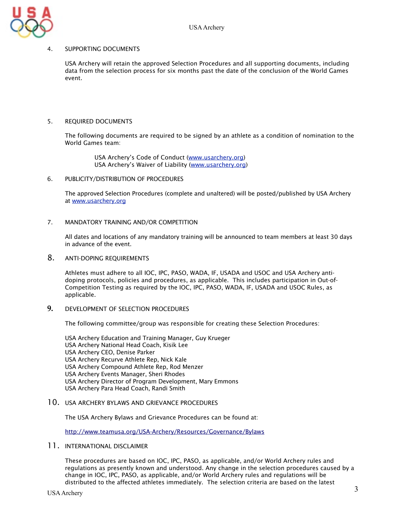

#### 4. SUPPORTING DOCUMENTS

USA Archery will retain the approved Selection Procedures and all supporting documents, including data from the selection process for six months past the date of the conclusion of the World Games event.

#### 5. REQUIRED DOCUMENTS

The following documents are required to be signed by an athlete as a condition of nomination to the World Games team:

> USA Archery's Code of Conduct [\(www.usarchery.org\)](http://www.usarchery.org) USA Archery's Waiver of Liability ([www.usarchery.org](http://www.usarchery.org))

6. PUBLICITY/DISTRIBUTION OF PROCEDURES

The approved Selection Procedures (complete and unaltered) will be posted/published by USA Archery at [www.usarchery.org](http://www.usarchery.org)

#### 7. MANDATORY TRAINING AND/OR COMPETITION

All dates and locations of any mandatory training will be announced to team members at least 30 days in advance of the event.

8. ANTI-DOPING REQUIREMENTS

Athletes must adhere to all IOC, IPC, PASO, WADA, IF, USADA and USOC and USA Archery antidoping protocols, policies and procedures, as applicable. This includes participation in Out-of-Competition Testing as required by the IOC, IPC, PASO, WADA, IF, USADA and USOC Rules, as applicable.

**9. DEVELOPMENT OF SELECTION PROCEDURES** 

The following committee/group was responsible for creating these Selection Procedures:

USA Archery Education and Training Manager, Guy Krueger USA Archery National Head Coach, Kisik Lee USA Archery CEO, Denise Parker USA Archery Recurve Athlete Rep, Nick Kale USA Archery Compound Athlete Rep, Rod Menzer USA Archery Events Manager, Sheri Rhodes USA Archery Director of Program Development, Mary Emmons USA Archery Para Head Coach, Randi Smith

10. USA ARCHERY BYLAWS AND GRIEVANCE PROCEDURES

The USA Archery Bylaws and Grievance Procedures can be found at:

<http://www.teamusa.org/USA-Archery/Resources/Governance/Bylaws>

#### 11. INTERNATIONAL DISCLAIMER

These procedures are based on IOC, IPC, PASO, as applicable, and/or World Archery rules and regulations as presently known and understood. Any change in the selection procedures caused by a change in IOC, IPC, PASO, as applicable, and/or World Archery rules and regulations will be distributed to the affected athletes immediately. The selection criteria are based on the latest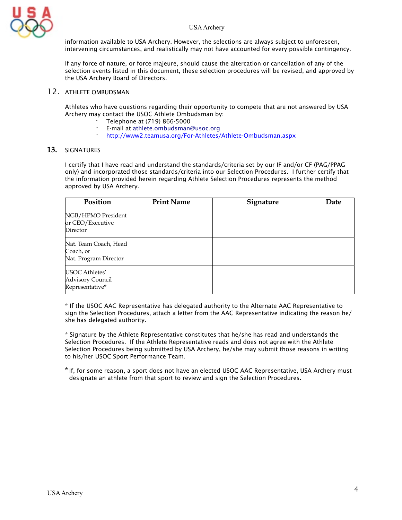

information available to USA Archery. However, the selections are always subject to unforeseen, intervening circumstances, and realistically may not have accounted for every possible contingency.

If any force of nature, or force majeure, should cause the altercation or cancellation of any of the selection events listed in this document, these selection procedures will be revised, and approved by the USA Archery Board of Directors.

#### 12. ATHLETE OMBUDSMAN

Athletes who have questions regarding their opportunity to compete that are not answered by USA Archery may contact the USOC Athlete Ombudsman by:

- · Telephone at (719) 866-5000
- **E-mail at [athlete.ombudsman@usoc.org](mailto:athlete.ombudsman@usoc.org)**<br>**•** http://www.2.teamuse.org/Eer-Athletes/
- **·** <http://www2.teamusa.org/For-Athletes/Athlete-Ombudsman.aspx>

#### **13.** SIGNATURES

I certify that I have read and understand the standards/criteria set by our IF and/or CF (PAG/PPAG only) and incorporated those standards/criteria into our Selection Procedures. I further certify that the information provided herein regarding Athlete Selection Procedures represents the method approved by USA Archery.

| Position                                                    | <b>Print Name</b> | Signature | Date |
|-------------------------------------------------------------|-------------------|-----------|------|
| NGB/HPMO President<br>or CEO/Executive<br>Director          |                   |           |      |
| Nat. Team Coach, Head<br>Coach, or<br>Nat. Program Director |                   |           |      |
| USOC Athletes'<br>Advisory Council<br>Representative*       |                   |           |      |

\* If the USOC AAC Representative has delegated authority to the Alternate AAC Representative to sign the Selection Procedures, attach a letter from the AAC Representative indicating the reason he/ she has delegated authority.

\* Signature by the Athlete Representative constitutes that he/she has read and understands the Selection Procedures. If the Athlete Representative reads and does not agree with the Athlete Selection Procedures being submitted by USA Archery, he/she may submit those reasons in writing to his/her USOC Sport Performance Team.

\*If, for some reason, a sport does not have an elected USOC AAC Representative, USA Archery must designate an athlete from that sport to review and sign the Selection Procedures.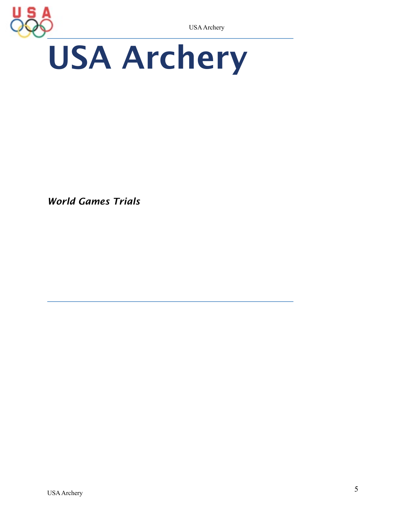# USA Archery USA Archery

*World Games Trials*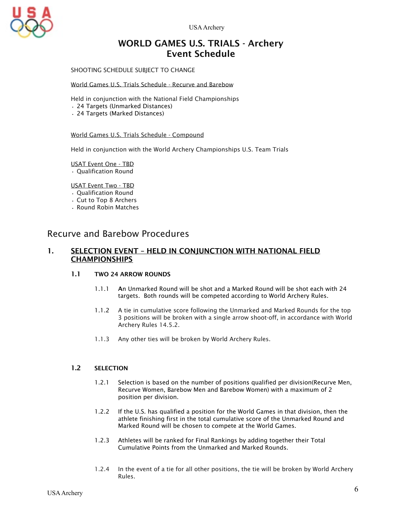USA Archery



### WORLD GAMES U.S. TRIALS - Archery Event Schedule

SHOOTING SCHEDULE SUBJECT TO CHANGE

#### World Games U.S. Trials Schedule - Recurve and Barebow

Held in conjunction with the National Field Championships

- 24 Targets (Unmarked Distances)
- 24 Targets (Marked Distances)

World Games U.S. Trials Schedule - Compound

Held in conjunction with the World Archery Championships U.S. Team Trials

USAT Event One - TBD

• Qualification Round

#### USAT Event Two - TBD

- Qualification Round
- Cut to Top 8 Archers
- Round Robin Matches

#### Recurve and Barebow Procedures

#### 1. SELECTION EVENT – HELD IN CONJUNCTION WITH NATIONAL FIELD **CHAMPIONSHIPS**

#### 1.1 TWO 24 ARROW ROUNDS

- 1.1.1 An Unmarked Round will be shot and a Marked Round will be shot each with 24 targets. Both rounds will be competed according to World Archery Rules.
- 1.1.2 A tie in cumulative score following the Unmarked and Marked Rounds for the top 3 positions will be broken with a single arrow shoot-off, in accordance with World Archery Rules 14.5.2.
- 1.1.3 Any other ties will be broken by World Archery Rules.

#### 1.2 SELECTION

- 1.2.1 Selection is based on the number of positions qualified per division(Recurve Men, Recurve Women, Barebow Men and Barebow Women) with a maximum of 2 position per division.
- 1.2.2 If the U.S. has qualified a position for the World Games in that division, then the athlete finishing first in the total cumulative score of the Unmarked Round and Marked Round will be chosen to compete at the World Games.
- 1.2.3 Athletes will be ranked for Final Rankings by adding together their Total Cumulative Points from the Unmarked and Marked Rounds.
- 1.2.4 In the event of a tie for all other positions, the tie will be broken by World Archery Rules.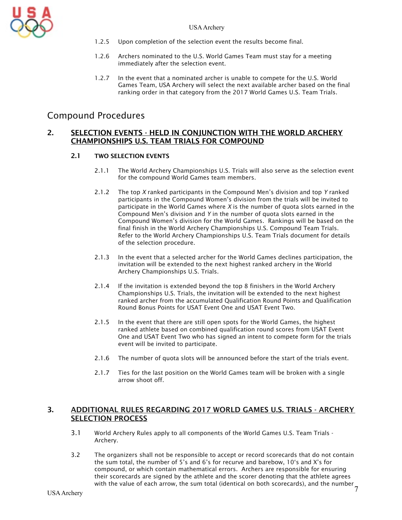

- 1.2.5 Upon completion of the selection event the results become final.
- 1.2.6 Archers nominated to the U.S. World Games Team must stay for a meeting immediately after the selection event.
- 1.2.7 In the event that a nominated archer is unable to compete for the U.S. World Games Team, USA Archery will select the next available archer based on the final ranking order in that category from the 2017 World Games U.S. Team Trials.

#### Compound Procedures

#### 2. SELECTION EVENTS - HELD IN CONJUNCTION WITH THE WORLD ARCHERY CHAMPIONSHIPS U.S. TEAM TRIALS FOR COMPOUND

#### 2.1 TWO SELECTION EVENTS

- 2.1.1 The World Archery Championships U.S. Trials will also serve as the selection event for the compound World Games team members.
- 2.1.2 The top *X* ranked participants in the Compound Men's division and top *Y* ranked participants in the Compound Women's division from the trials will be invited to participate in the World Games where *X* is the number of quota slots earned in the Compound Men's division and *Y* in the number of quota slots earned in the Compound Women's division for the World Games. Rankings will be based on the final finish in the World Archery Championships U.S. Compound Team Trials. Refer to the World Archery Championships U.S. Team Trials document for details of the selection procedure.
- 2.1.3 In the event that a selected archer for the World Games declines participation, the invitation will be extended to the next highest ranked archery in the World Archery Championships U.S. Trials.
- 2.1.4 If the invitation is extended beyond the top 8 finishers in the World Archery Championships U.S. Trials, the invitation will be extended to the next highest ranked archer from the accumulated Qualification Round Points and Qualification Round Bonus Points for USAT Event One and USAT Event Two.
- 2.1.5 In the event that there are still open spots for the World Games, the highest ranked athlete based on combined qualification round scores from USAT Event One and USAT Event Two who has signed an intent to compete form for the trials event will be invited to participate.
- 2.1.6 The number of quota slots will be announced before the start of the trials event.
- 2.1.7 Ties for the last position on the World Games team will be broken with a single arrow shoot off.

#### 3. ADDITIONAL RULES REGARDING 2017 WORLD GAMES U.S. TRIALS - ARCHERY SELECTION PROCESS

- 3.1 World Archery Rules apply to all components of the World Games U.S. Team Trials Archery.
- 7 with the value of each arrow, the sum total (identical on both scorecards), and the number 3.2 The organizers shall not be responsible to accept or record scorecards that do not contain the sum total, the number of 5's and 6's for recurve and barebow, 10's and X's for compound, or which contain mathematical errors. Archers are responsible for ensuring their scorecards are signed by the athlete and the scorer denoting that the athlete agrees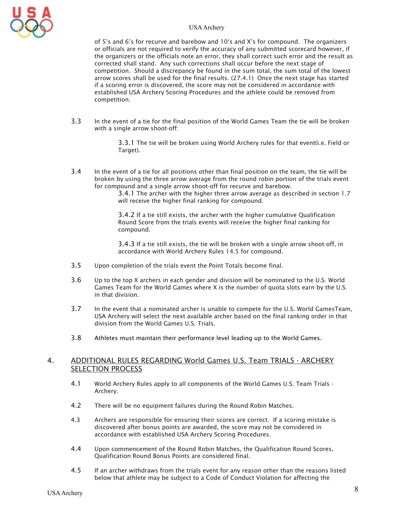

#### USA Archery

of 5's and 6's for recurve and barebow and 10's and X's for compound. The organizers or officials are not required to verify the accuracy of any submitted scorecard however, if the organizers or the officials note an error, they shall correct such error and the result as corrected shall stand. Any such corrections shall occur before the next stage of competition. Should a discrepancy be found in the sum total, the sum total of the lowest arrow scores shall be used for the final results. (27.4.1) Once the next stage has started if a scoring error is discovered, the score may not be considered in accordance with established USA Archery Scoring Procedures and the athlete could be removed from competition.

3.3 In the event of a tie for the final position of the World Games Team the tie will be broken with a single arrow shoot-off:

> 3.3.1 The tie will be broken using World Archery rules for that event(i.e. Field or Target).

3.4 In the event of a tie for all positions other than final position on the team, the tie will be broken by using the three arrow average from the round robin portion of the trials event for compound and a single arrow shoot-off for recurve and barebow.

3.4.1 The archer with the higher three arrow average as described in section 1.7 will receive the higher final ranking for compound.

3.4.2 If a tie still exists, the archer with the higher cumulative Qualification Round Score from the trials events will receive the higher final ranking for compound.

3.4.3 If a tie still exists, the tie will be broken with a single arrow shoot-off, in accordance with World Archery Rules 14.5 for compound.

- 3.5 Upon completion of the trials event the Point Totals become final.
- 3.6 Up to the top X archers in each gender and division will be nominated to the U.S. World Games Team for the World Games where X is the number of quota slots earn by the U.S. in that division.
- 3.7 In the event that a nominated archer is unable to compete for the U.S. World GamesTeam, USA Archery will select the next available archer based on the final ranking order in that division from the World Games U.S. Trials.
- 3.8 Athletes must maintain their performance level leading up to the World Games.

#### 4. ADDITIONAL RULES REGARDING World Games U.S. Team TRIALS - ARCHERY SELECTION PROCESS

- 4.1 World Archery Rules apply to all components of the World Games U.S. Team Trials Archery.
- 4.2 There will be no equipment failures during the Round Robin Matches.
- 4.3 Archers are responsible for ensuring their scores are correct. If a scoring mistake is discovered after bonus points are awarded, the score may not be considered in accordance with established USA Archery Scoring Procedures.
- 4.4 Upon commencement of the Round Robin Matches, the Qualification Round Scores, Qualification Round Bonus Points are considered final.
- 4.5 If an archer withdraws from the trials event for any reason other than the reasons listed below that athlete may be subject to a Code of Conduct Violation for affecting the